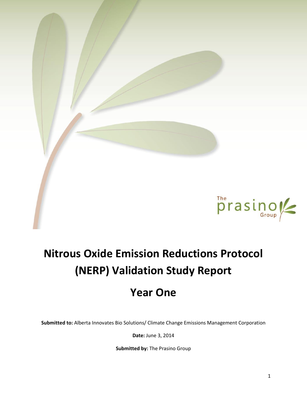

# **Nitrous Oxide Emission Reductions Protocol (NERP) Validation Study Report**

# **Year One**

**Submitted to:** Alberta Innovates Bio Solutions/ Climate Change Emissions Management Corporation

**Date:** June 3, 2014

**Submitted by:** The Prasino Group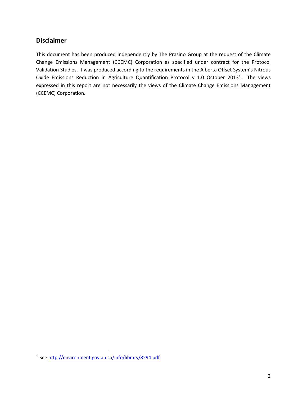### **Disclaimer**

This document has been produced independently by The Prasino Group at the request of the Climate Change Emissions Management (CCEMC) Corporation as specified under contract for the Protocol Validation Studies. It was produced according to the requirements in the Alberta Offset System's Nitrous Oxide Emissions Reduction in Agriculture Quantification Protocol v 1.0 October 2013<sup>1</sup>. The views expressed in this report are not necessarily the views of the Climate Change Emissions Management (CCEMC) Corporation.

 $\overline{a}$ 

<sup>&</sup>lt;sup>1</sup> Se[e http://environment.gov.ab.ca/info/library/8294.pdf](http://environment.gov.ab.ca/info/library/8294.pdf)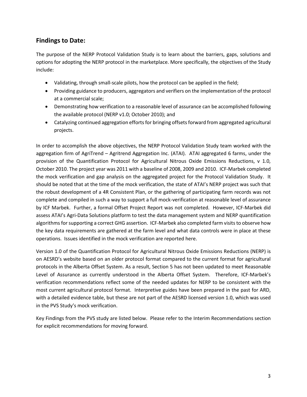# **Findings to Date:**

The purpose of the NERP Protocol Validation Study is to learn about the barriers, gaps, solutions and options for adopting the NERP protocol in the marketplace. More specifically, the objectives of the Study include:

- Validating, through small-scale pilots, how the protocol can be applied in the field;
- Providing guidance to producers, aggregators and verifiers on the implementation of the protocol at a commercial scale;
- Demonstrating how verification to a reasonable level of assurance can be accomplished following the available protocol (NERP v1.0; October 2010); and
- Catalyzing continued aggregation efforts for bringing offsets forward from aggregated agricultural projects.

In order to accomplish the above objectives, the NERP Protocol Validation Study team worked with the aggregation firm of AgriTrend – Agritrend Aggregation Inc. (ATAI). ATAI aggregated 6 farms, under the provision of the Quantification Protocol for Agricultural Nitrous Oxide Emissions Reductions, v 1.0, October 2010. The project year was 2011 with a baseline of 2008, 2009 and 2010. ICF-Marbek completed the mock verification and gap analysis on the aggregated project for the Protocol Validation Study. It should be noted that at the time of the mock verification, the state of ATAI's NERP project was such that the robust development of a 4R Consistent Plan, or the gathering of participating farm records was not complete and compiled in such a way to support a full mock-verification at reasonable level of assurance by ICF Marbek. Further, a formal Offset Project Report was not completed. However, ICF-Marbek did assess ATAI's Agri-Data Solutions platform to test the data management system and NERP quantification algorithms for supporting a correct GHG assertion. ICF-Marbek also completed farm visits to observe how the key data requirements are gathered at the farm level and what data controls were in place at these operations. Issues identified in the mock verification are reported here.

Version 1.0 of the Quantification Protocol for Agricultural Nitrous Oxide Emissions Reductions (NERP) is on AESRD's website based on an older protocol format compared to the current format for agricultural protocols in the Alberta Offset System. As a result, Section 5 has not been updated to meet Reasonable Level of Assurance as currently understood in the Alberta Offset System. Therefore, ICF-Marbek's verification recommendations reflect some of the needed updates for NERP to be consistent with the most current agricultural protocol format. Interpretive guides have been prepared in the past for ARD, with a detailed evidence table, but these are not part of the AESRD licensed version 1.0, which was used in the PVS Study's mock verification.

Key Findings from the PVS study are listed below. Please refer to the Interim Recommendations section for explicit recommendations for moving forward.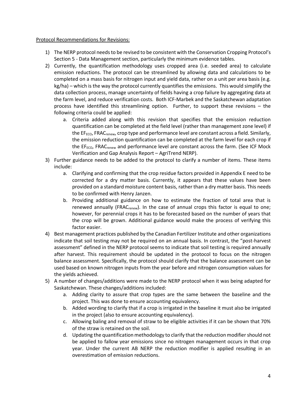#### Protocol Recommendations for Revisions:

- 1) The NERP protocol needs to be revised to be consistent with the Conservation Cropping Protocol's Section 5 - Data Management section, particularly the minimum evidence tables.
- 2) Currently, the quantification methodology uses cropped area (i.e. seeded area) to calculate emission reductions. The protocol can be streamlined by allowing data and calculations to be completed on a mass basis for nitrogen input and yield data, rather on a unit per area basis (e.g. kg/ha) – which is the way the protocol currently quantifies the emissions. This would simplify the data collection process, manage uncertainty of fields having a crop failure by aggregating data at the farm level, and reduce verification costs. Both ICF-Marbek and the Saskatchewan adaptation process have identified this streamlining option. Further, to support these revisions – the following criteria could be applied:
	- a. Criteria added along with this revision that specifies that the emission reduction quantification can be completed at the field level (rather than management zone level) if the EF<sub>ECO</sub>, FRAC<sub>renew</sub>, crop type and performance level are constant across a field. Similarly, the emission reduction quantification can be completed at the farm level for each crop if the EF<sub>ECO</sub>, FRAC<sub>renew</sub> and performance level are constant across the farm. (See ICF Mock Verification and Gap Analysis Report – AgriTrend NERP).
- 3) Further guidance needs to be added to the protocol to clarify a number of items. These items include:
	- a. Clarifying and confirming that the crop residue factors provided in Appendix E need to be corrected for a dry matter basis. Currently, it appears that these values have been provided on a standard moisture content basis, rather than a dry matter basis. This needs to be confirmed with Henry Janzen.
	- b. Providing additional guidance on how to estimate the fraction of total area that is renewed annually (FRAC<sub>renew</sub>). In the case of annual crops this factor is equal to one; however, for perennial crops it has to be forecasted based on the number of years that the crop will be grown. Additional guidance would make the process of verifying this factor easier.
- 4) Best management practices published by the Canadian Fertilizer Institute and other organizations indicate that soil testing may not be required on an annual basis. In contrast, the "post-harvest assessment" defined in the NERP protocol seems to indicate that soil testing is required annually after harvest. This requirement should be updated in the protocol to focus on the nitrogen balance assessment. Specifically, the protocol should clarify that the balance assessment can be used based on known nitrogen inputs from the year before and nitrogen consumption values for the yields achieved.
- 5) A number of changes/additions were made to the NERP protocol when it was being adapted for Saskatchewan. These changes/additions included:
	- a. Adding clarity to assure that crop types are the same between the baseline and the project. This was done to ensure accounting equivalency.
	- b. Added wording to clarify that if a crop is irrigated in the baseline it must also be irrigated in the project (also to ensure accounting equivalency).
	- c. Allowing baling and removal of straw to be eligible activities if it can be shown that 70% of the straw is retained on the soil.
	- d. Updating the quantification methodology to clarify that the reduction modifier should not be applied to fallow year emissions since no nitrogen management occurs in that crop year. Under the current AB NERP the reduction modifier is applied resulting in an overestimation of emission reductions.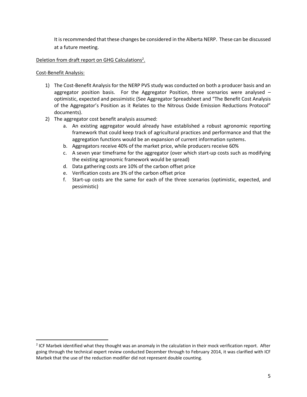It is recommended that these changes be considered in the Alberta NERP. These can be discussed at a future meeting.

#### Deletion from draft report on GHG Calculations<sup>2</sup>.

#### Cost-Benefit Analysis:

 $\overline{\phantom{a}}$ 

- 1) The Cost-Benefit Analysis for the NERP PVS study was conducted on both a producer basis and an aggregator position basis. For the Aggregator Position, three scenarios were analysed  $$ optimistic, expected and pessimistic (See Aggregator Spreadsheet and "The Benefit Cost Analysis of the Aggregator's Position as it Relates to the Nitrous Oxide Emission Reductions Protocol" documents).
- 2) The aggregator cost benefit analysis assumed:
	- a. An existing aggregator would already have established a robust agronomic reporting framework that could keep track of agricultural practices and performance and that the aggregation functions would be an expansion of current information systems.
	- b. Aggregators receive 40% of the market price, while producers receive 60%
	- c. A seven year timeframe for the aggregator (over which start-up costs such as modifying the existing agronomic framework would be spread)
	- d. Data gathering costs are 10% of the carbon offset price
	- e. Verification costs are 3% of the carbon offset price
	- f. Start-up costs are the same for each of the three scenarios (optimistic, expected, and pessimistic)

<sup>&</sup>lt;sup>2</sup> ICF Marbek identified what they thought was an anomaly in the calculation in their mock verification report. After going through the technical expert review conducted December through to February 2014, it was clarified with ICF Marbek that the use of the reduction modifier did not represent double counting.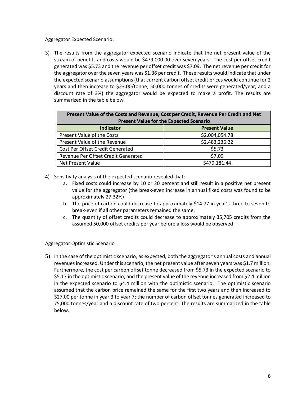#### Aggregator Expected Scenario:

3) The results from the aggregator expected scenario indicate that the net present value of the stream of benefits and costs would be \$479,000.00 over seven years. The cost per offset credit generated was \$5.73 and the revenue per offset credit was \$7.09. The net revenue per credit for the aggregator over the seven years was \$1.36 per credit. These results would indicate that under the expected scenario assumptions (that current carbon offset credit prices would continue for 2 years and then increase to \$23.00/tonne; 50,000 tonnes of credits were generated/year; and a discount rate of 3%) the aggregator would be expected to make a profit. The results are summarized in the table below.

| Present Value of the Costs and Revenue, Cost per Credit, Revenue Per Credit and Net<br><b>Present Value for the Expected Scenario</b> |                      |  |  |
|---------------------------------------------------------------------------------------------------------------------------------------|----------------------|--|--|
| <b>Indicator</b>                                                                                                                      | <b>Present Value</b> |  |  |
| Present Value of the Costs                                                                                                            | \$2,004,054.78       |  |  |
| Present Value of the Revenue                                                                                                          | \$2,483,236.22       |  |  |
| Cost Per Offset Credit Generated                                                                                                      | \$5.73               |  |  |
| Revenue Per Offset Credit Generated                                                                                                   | \$7.09               |  |  |
| Net Present Value                                                                                                                     | \$479,181.44         |  |  |

- 4) Sensitivity analysis of the expected scenario revealed that:
	- a. Fixed costs could increase by 10 or 20 percent and still result in a positive net present value for the aggregator (the break-even increase in annual fixed costs was found to be approximately 27.32%)
	- b. The price of carbon could decrease to approximately \$14.77 in year's three to seven to break-even if all other parameters remained the same.
	- c. The quantity of offset credits could decrease to approximately 35,705 credits from the assumed 50,000 offset credits per year before a loss would be observed

#### Aggregator Optimistic Scenario

5) In the case of the optimistic scenario, as expected, both the aggregator's annual costs and annual revenues increased. Under this scenario, the net present value after seven years was \$1.7 million. Furthermore, the cost per carbon offset tonne decreased from \$5.73 in the expected scenario to \$5.17 in the optimistic scenario; and the present value of the revenue increased from \$2.4 million in the expected scenario to \$4.4 million with the optimistic scenario. The optimistic scenario assumed that the carbon price remained the same for the first two years and then increased to \$27.00 per tonne in year 3 to year 7; the number of carbon offset tonnes generated increased to 75,000 tonnes/year and a discount rate of two percent. The results are summarized in the table below.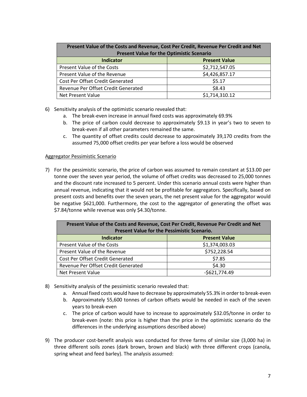| Present Value of the Costs and Revenue, Cost Per Credit, Revenue Per Credit and Net<br><b>Present Value for the Optimistic Scenario</b> |                      |  |  |
|-----------------------------------------------------------------------------------------------------------------------------------------|----------------------|--|--|
| <b>Indicator</b>                                                                                                                        | <b>Present Value</b> |  |  |
| Present Value of the Costs                                                                                                              | \$2,712,547.05       |  |  |
| Present Value of the Revenue                                                                                                            | \$4,426,857.17       |  |  |
| Cost Per Offset Credit Generated                                                                                                        | \$5.17               |  |  |
| Revenue Per Offset Credit Generated                                                                                                     | \$8.43               |  |  |
| Net Present Value                                                                                                                       | \$1,714,310.12       |  |  |

- 6) Sensitivity analysis of the optimistic scenario revealed that:
	- a. The break-even increase in annual fixed costs was approximately 69.9%
	- b. The price of carbon could decrease to approximately \$9.13 in year's two to seven to break-even if all other parameters remained the same.
	- c. The quantity of offset credits could decrease to approximately 39,170 credits from the assumed 75,000 offset credits per year before a loss would be observed

#### Aggregator Pessimistic Scenario

7) For the pessimistic scenario, the price of carbon was assumed to remain constant at \$13.00 per tonne over the seven year period, the volume of offset credits was decreased to 25,000 tonnes and the discount rate increased to 5 percent. Under this scenario annual costs were higher than annual revenue, indicating that it would not be profitable for aggregators. Specifically, based on present costs and benefits over the seven years, the net present value for the aggregator would be negative \$621,000. Furthermore, the cost to the aggregator of generating the offset was \$7.84/tonne while revenue was only \$4.30/tonne.

| Present Value of the Costs and Revenue, Cost Per Credit, Revenue Per Credit and Net |                      |  |  |
|-------------------------------------------------------------------------------------|----------------------|--|--|
| <b>Present Value for the Pessimistic Scenario.</b>                                  |                      |  |  |
| <b>Indicator</b>                                                                    | <b>Present Value</b> |  |  |
| Present Value of the Costs                                                          | \$1,374,003.03       |  |  |
| Present Value of the Revenue                                                        | \$752,228.54         |  |  |
| Cost Per Offset Credit Generated                                                    | \$7.85               |  |  |
| Revenue Per Offset Credit Generated                                                 | \$4.30               |  |  |
| Net Present Value                                                                   | $-5621,774.49$       |  |  |

- 8) Sensitivity analysis of the pessimistic scenario revealed that:
	- a. Annual fixed costs would have to decrease by approximately 55.3% in order to break-even
	- b. Approximately 55,600 tonnes of carbon offsets would be needed in each of the seven years to break-even
	- c. The price of carbon would have to increase to approximately \$32.05/tonne in order to break-even (note: this price is higher than the price in the optimistic scenario do the differences in the underlying assumptions described above)
- 9) The producer cost-benefit analysis was conducted for three farms of similar size (3,000 ha) in three different soils zones (dark brown, brown and black) with three different crops (canola, spring wheat and feed barley). The analysis assumed: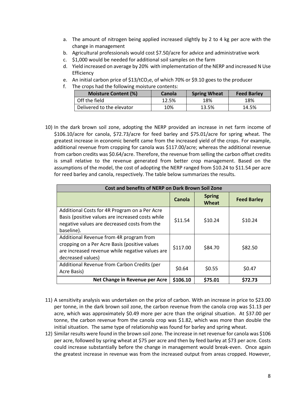- a. The amount of nitrogen being applied increased slightly by 2 to 4 kg per acre with the change in management
- b. Agricultural professionals would cost \$7.50/acre for advice and administrative work
- c. \$1,000 would be needed for additional soil samples on the farm
- d. Yield increased on average by 20% with implementation of the NERP and increased N Use **Efficiency**
- e. An initial carbon price of  $$13/tCO<sub>2</sub>e$ , of which 70% or \$9.10 goes to the producer
- f. The crops had the following moisture contents:

| <b>Moisture Content (%)</b> | <b>Canola</b> | <b>Spring Wheat</b> | <b>Feed Barley</b> |
|-----------------------------|---------------|---------------------|--------------------|
| Off the field               | 12.5%         | 18%                 | 18%                |
| Delivered to the elevator   | 10%           | 13.5%               | 14.5%              |

10) In the dark brown soil zone, adopting the NERP provided an increase in net farm income of \$106.10/acre for canola, \$72.73/acre for feed barley and \$75.01/acre for spring wheat. The greatest increase in economic benefit came from the increased yield of the crops. For example, additional revenue from cropping for canola was \$117.00/acre; whereas the additional revenue from carbon credits was \$0.64/acre. Therefore, the revenue from selling the carbon offset credits is small relative to the revenue generated from better crop management. Based on the assumptions of the model, the cost of adopting the NERP ranged from \$10.24 to \$11.54 per acre for reed barley and canola, respectively. The table below summarizes the results.

| <b>Cost and benefits of NERP on Dark Brown Soil Zone</b>                                                                                                         |          |                        |                    |
|------------------------------------------------------------------------------------------------------------------------------------------------------------------|----------|------------------------|--------------------|
|                                                                                                                                                                  | Canola   | <b>Spring</b><br>Wheat | <b>Feed Barley</b> |
| Additional Costs for 4R Program on a Per Acre<br>Basis (positive values are increased costs while<br>negative values are decreased costs from the<br>baseline).  | \$11.54  | \$10.24                | \$10.24            |
| Additional Revenue from 4R program from<br>cropping on a Per Acre Basis (positive values<br>are increased revenue while negative values are<br>decreased values) | \$117.00 | \$84.70                | \$82.50            |
| Additional Revenue from Carbon Credits (per<br>Acre Basis)                                                                                                       | \$0.64   | \$0.55                 | \$0.47             |
| Net Change in Revenue per Acre                                                                                                                                   | \$106.10 | \$75.01                | \$72.73            |

- 11) A sensitivity analysis was undertaken on the price of carbon. With an increase in price to \$23.00 per tonne, in the dark brown soil zone, the carbon revenue from the canola crop was \$1.13 per acre, which was approximately \$0.49 more per acre than the original situation. At \$37.00 per tonne, the carbon revenue from the canola crop was \$1.82, which was more than double the initial situation. The same type of relationship was found for barley and spring wheat.
- 12) Similar results were found in the brown soil zone. The increase in net revenue for canola was \$106 per acre, followed by spring wheat at \$75 per acre and then by feed barley at \$73 per acre. Costs could increase substantially before the change in management would break-even. Once again the greatest increase in revenue was from the increased output from areas cropped. However,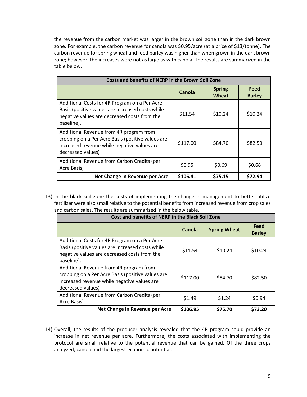the revenue from the carbon market was larger in the brown soil zone than in the dark brown zone. For example, the carbon revenue for canola was \$0.95/acre (at a price of \$13/tonne). The carbon revenue for spring wheat and feed barley was higher than when grown in the dark brown zone; however, the increases were not as large as with canola. The results are summarized in the table below.

| <b>Costs and benefits of NERP in the Brown Soil Zone</b>                                                                                                         |          |                        |                       |
|------------------------------------------------------------------------------------------------------------------------------------------------------------------|----------|------------------------|-----------------------|
|                                                                                                                                                                  | Canola   | <b>Spring</b><br>Wheat | Feed<br><b>Barley</b> |
| Additional Costs for 4R Program on a Per Acre<br>Basis (positive values are increased costs while<br>negative values are decreased costs from the<br>baseline).  | \$11.54  | \$10.24                | \$10.24               |
| Additional Revenue from 4R program from<br>cropping on a Per Acre Basis (positive values are<br>increased revenue while negative values are<br>decreased values) | \$117.00 | \$84.70                | \$82.50               |
| Additional Revenue from Carbon Credits (per<br>Acre Basis)                                                                                                       | \$0.95   | \$0.69                 | \$0.68                |
| Net Change in Revenue per Acre                                                                                                                                   | \$106.41 | \$75.15                | \$72.94               |

13) In the black soil zone the costs of implementing the change in management to better utilize fertilizer were also small relative to the potential benefits from increased revenue from crop sales and carbon sales. The results are summarized in the below table.

| Cost and benefits of NERP in the Black Soil Zone                                                                                                                 |          |                     |                       |
|------------------------------------------------------------------------------------------------------------------------------------------------------------------|----------|---------------------|-----------------------|
|                                                                                                                                                                  | Canola   | <b>Spring Wheat</b> | Feed<br><b>Barley</b> |
| Additional Costs for 4R Program on a Per Acre<br>Basis (positive values are increased costs while<br>negative values are decreased costs from the<br>baseline).  | \$11.54  | \$10.24             | \$10.24               |
| Additional Revenue from 4R program from<br>cropping on a Per Acre Basis (positive values are<br>increased revenue while negative values are<br>decreased values) | \$117.00 | \$84.70             | \$82.50               |
| Additional Revenue from Carbon Credits (per<br>Acre Basis)                                                                                                       | \$1.49   | \$1.24              | \$0.94                |
| Net Change in Revenue per Acre                                                                                                                                   | \$106.95 | \$75.70             | \$73.20               |

14) Overall, the results of the producer analysis revealed that the 4R program could provide an increase in net revenue per acre. Furthermore, the costs associated with implementing the protocol are small relative to the potential revenue that can be gained. Of the three crops analyzed, canola had the largest economic potential.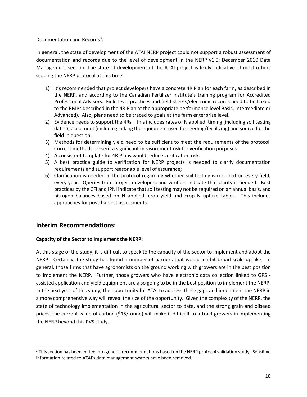#### Documentation and Records<sup>3</sup>:

In general, the state of development of the ATAI NERP project could not support a robust assessment of documentation and records due to the level of development in the NERP v1.0; December 2010 Data Management section. The state of development of the ATAI project is likely indicative of most others scoping the NERP protocol at this time.

- 1) It's recommended that project developers have a concrete 4R Plan for each farm, as described in the NERP, and according to the Canadian Fertilizer Institute's training program for Accredited Professional Advisors. Field level practices and field sheets/electronic records need to be linked to the BMPs described in the 4R Plan at the appropriate performance level Basic, Intermediate or Advanced). Also, plans need to be traced to goals at the farm enterprise level.
- 2) Evidence needs to support the 4Rs this includes rates of N applied, timing (including soil testing dates); placement (including linking the equipment used for seeding/fertilizing) and source for the field in question.
- 3) Methods for determining yield need to be sufficient to meet the requirements of the protocol. Current methods present a significant measurement risk for verification purposes.
- 4) A consistent template for 4R Plans would reduce verification risk.
- 5) A best practice guide to verification for NERP projects is needed to clarify documentation requirements and support reasonable level of assurance;
- 6) Clarification is needed in the protocol regarding whether soil testing is required on every field, every year. Queries from project developers and verifiers indicate that clarity is needed. Best practices by the CFI and IPNI indicate that soil testing may not be required on an annual basis, and nitrogen balances based on N applied, crop yield and crop N uptake tables. This includes approaches for post-harvest assessments.

# **Interim Recommendations:**

l

#### **Capacity of the Sector to Implement the NERP:**

At this stage of the study, it is difficult to speak to the capacity of the sector to implement and adopt the NERP. Certainly, the study has found a number of barriers that would inhibit broad scale uptake. In general, those firms that have agronomists on the ground working with growers are in the best position to implement the NERP. Further, those growers who have electronic data collection linked to GPS assisted application and yield equipment are also going to be in the best position to implement the NERP. In the next year of this study, the opportunity for ATAI to address these gaps and implement the NERP in a more comprehensive way will reveal the size of the opportunity. Given the complexity of the NERP, the state of technology implementation in the agricultural sector to date, and the strong grain and oilseed prices, the current value of carbon (\$15/tonne) will make it difficult to attract growers in implementing the NERP beyond this PVS study.

<sup>&</sup>lt;sup>3</sup> This section has been edited into general recommendations based on the NERP protocol validation study. Sensitive information related to ATAI's data management system have been removed.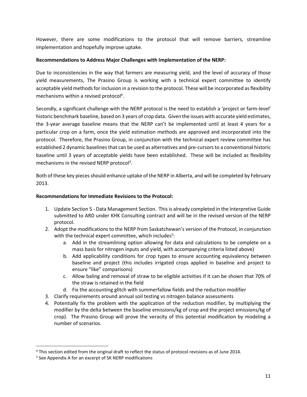However, there are some modifications to the protocol that will remove barriers, streamline implementation and hopefully improve uptake.

#### **Recommendations to Address Major Challenges with Implementation of the NERP:**

Due to inconsistencies in the way that farmers are measuring yield, and the level of accuracy of those yield measurements, The Prasino Group is working with a technical expert committee to identify acceptable yield methods for inclusion in a revision to the protocol. These will be incorporated as flexibility mechanisms within a revised protocol<sup>4</sup>.

Secondly, a significant challenge with the NERP protocol is the need to establish a 'project or farm-level' historic benchmark baseline, based on 3 years of crop data. Given the issues with accurate yield estimates, the 3-year average baseline means that the NERP can't be implemented until at least 4 years for a particular crop on a farm, once the yield estimation methods are approved and incorporated into the protocol. Therefore, the Prasino Group, in conjunction with the technical expert review committee has established 2 dynamic baselines that can be used as alternatives and pre-cursors to a conventional historic baseline until 3 years of acceptable yields have been established. These will be included as flexibility mechanisms in the revised NERP protocol<sup>3</sup>.

Both of these key pieces should enhance uptake of the NERP in Alberta, and will be completed by February 2013.

#### **Recommendations for Immediate Revisions to the Protocol:**

- 1. Update Section 5 Data Management Section. This is already completed in the Interpretive Guide submitted to ARD under KHK Consulting contract and will be in the revised version of the NERP protocol.
- 2. Adopt the modifications to the NERP from Saskatchewan's version of the Protocol, in conjunction with the technical expert committee, which includes<sup>5</sup>:
	- a. Add in the streamlining option allowing for data and calculations to be complete on a mass basis for nitrogen inputs and yield, with accompanying criteria listed above)
	- b. Add applicability conditions for crop types to ensure accounting equivalency between baseline and project (this includes irrigated crops applied in baseline and project to ensure "like" comparisons)
	- c. Allow baling and removal of straw to be eligible activities if it can be shown that 70% of the straw is retained in the field
	- d. Fix the accounting glitch with summerfallow fields and the reduction modifier
- 3. Clarify requirements around annual soil testing vs nitrogen balance assessments
- 4. Potentially fix the problem with the application of the reduction modifier, by multiplying the modifier by the delta between the baseline emissions/kg of crop and the project emissions/kg of crop). The Prasino Group will prove the veracity of this potential modification by modeling a number of scenarios.

l

<sup>4</sup> This section edited from the original draft to reflect the status of protocol revisions as of June 2014.

<sup>&</sup>lt;sup>5</sup> See Appendix A for an excerpt of SK NERP modifications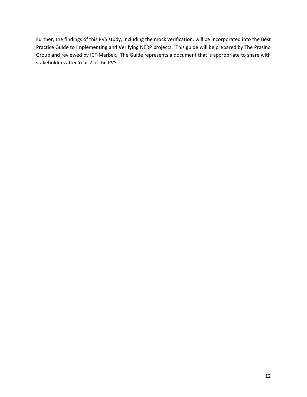Further, the findings of this PVS study, including the mock verification, will be incorporated into the Best Practice Guide to Implementing and Verifying NERP projects. This guide will be prepared by The Prasino Group and reviewed by ICF-Marbek. The Guide represents a document that is appropriate to share with stakeholders after Year 2 of the PVS.